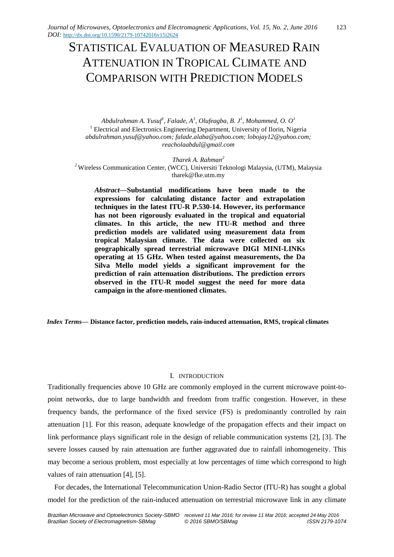# STATISTICAL EVALUATION OF MEASURED RAIN ATTENUATION IN TROPICAL CLIMATE AND COMPARISON WITH PREDICTION MODELS

*Abdulrahman A. Yusuf<sup>1</sup> , Falade, A<sup>1</sup> , Olufeagba, B. J<sup>1</sup> , Mohammed, O. O<sup>1</sup>* <sup>1</sup> Electrical and Electronics Engineering Department, University of Ilorin, Nigeria *abdulrahman.yusuf@yahoo.com; falade.alaba@yahoo.com; lobojay12@yahoo.com; reacholaabdul@gmail.com*

*Tharek A. Rahman<sup>2</sup>* <sup>2</sup> Wireless Communication Center, (WCC), Universiti Teknologi Malaysia, (UTM), Malaysia tharek@fke.utm.my

*Abstract***—Substantial modifications have been made to the expressions for calculating distance factor and extrapolation techniques in the latest ITU-R P.530-14. However, its performance has not been rigorously evaluated in the tropical and equatorial climates. In this article, the new ITU-R method and three prediction models are validated using measurement data from tropical Malaysian climate. The data were collected on six geographically spread terrestrial microwave DIGI MINI-LINKs operating at 15 GHz. When tested against measurements, the Da Silva Mello model yields a significant improvement for the prediction of rain attenuation distributions. The prediction errors observed in the ITU-R model suggest the need for more data campaign in the afore-mentioned climates.** 

*Index Terms***— Distance factor, prediction models, rain-induced attenuation, RMS, tropical climates**

# I. INTRODUCTION

Traditionally frequencies above 10 GHz are commonly employed in the current microwave point-topoint networks, due to large bandwidth and freedom from traffic congestion. However, in these frequency bands, the performance of the fixed service (FS) is predominantly controlled by rain attenuation [1]. For this reason, adequate knowledge of the propagation effects and their impact on link performance plays significant role in the design of reliable communication systems [2], [3]. The severe losses caused by rain attenuation are further aggravated due to rainfall inhomogeneity. This may become a serious problem, most especially at low percentages of time which correspond to high values of rain attenuation [4], [5].

For decades, the International Telecommunication Union-Radio Sector (ITU-R) has sought a global model for the prediction of the rain-induced attenuation on terrestrial microwave link in any climate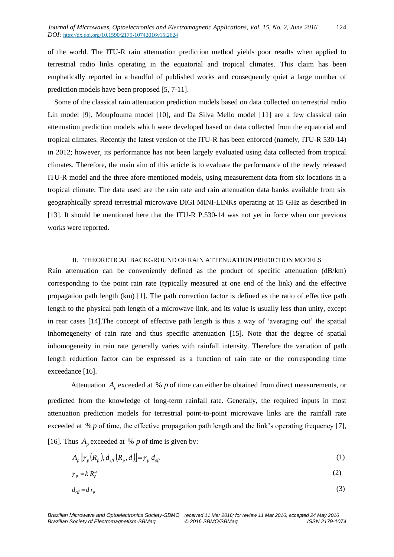of the world. The ITU-R rain attenuation prediction method yields poor results when applied to terrestrial radio links operating in the equatorial and tropical climates. This claim has been emphatically reported in a handful of published works and consequently quiet a large number of prediction models have been proposed [5, 7-11].

Some of the classical rain attenuation prediction models based on data collected on terrestrial radio Lin model [9], Moupfouma model [10], and Da Silva Mello model [11] are a few classical rain attenuation prediction models which were developed based on data collected from the equatorial and tropical climates. Recently the latest version of the ITU-R has been enforced (namely, ITU-R 530-14) in 2012; however, its performance has not been largely evaluated using data collected from tropical climates. Therefore, the main aim of this article is to evaluate the performance of the newly released ITU-R model and the three afore-mentioned models, using measurement data from six locations in a tropical climate. The data used are the rain rate and rain attenuation data banks available from six geographically spread terrestrial microwave DIGI MINI-LINKs operating at 15 GHz as described in [13]. It should be mentioned here that the ITU-R P.530-14 was not yet in force when our previous works were reported.

# II. THEORETICAL BACKGROUND OF RAIN ATTENUATION PREDICTION MODELS

Rain attenuation can be conveniently defined as the product of specific attenuation (dB/km) corresponding to the point rain rate (typically measured at one end of the link) and the effective propagation path length (km) [1]. The path correction factor is defined as the ratio of effective path length to the physical path length of a microwave link, and its value is usually less than unity, except in rear cases [14].The concept of effective path length is thus a way of 'averaging out' the spatial inhomegeneity of rain rate and thus specific attenuation [15]. Note that the degree of spatial inhomogeneity in rain rate generally varies with rainfall intensity. Therefore the variation of path length reduction factor can be expressed as a function of rain rate or the corresponding time exceedance [16].

Attenuation  $A_p$  exceeded at % p of time can either be obtained from direct measurements, or predicted from the knowledge of long-term rainfall rate. Generally, the required inputs in most attenuation prediction models for terrestrial point-to-point microwave links are the rainfall rate exceeded at % p of time, the effective propagation path length and the link's operating frequency [7], [16]. Thus  $A_p$  exceeded at % p of time is given by:

$$
A_p \left[ \gamma_p(R_p), d_{\text{eff}}(R_p, d) \right] = \gamma_p d_{\text{eff}} \tag{1}
$$

$$
\gamma_p = k R_p^{\alpha} \tag{2}
$$

$$
d_{\text{eff}} = d r_p \tag{3}
$$

*Brazilian Microwave and Optoelectronics Society-SBMO received 11 Mar 2016; for review 11 Mar 2016; accepted 24 May 2016 Brazilian Society of Electromagnetism-SBMag © 2016 SBMO/SBMag ISSN 2179-1074*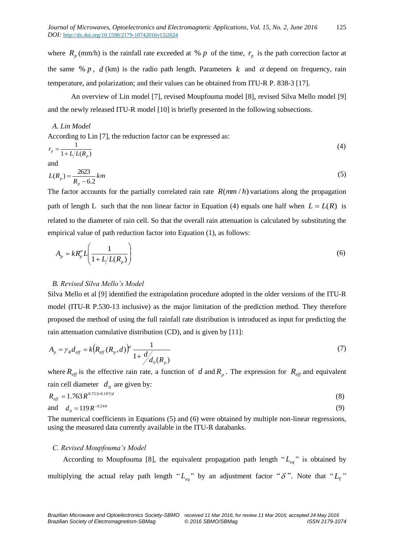where  $R_p$  (mm/h) is the rainfall rate exceeded at % p of the time,  $r_p$  is the path correction factor at the same %  $p$ ,  $d$  (km) is the radio path length. Parameters  $k$  and  $\alpha$  depend on frequency, rain temperature, and polarization; and their values can be obtained from ITU-R P. 838-3 [17].

An overview of Lin model [7], revised Moupfouma model [8], revised Silva Mello model [9] and the newly released ITU-R model [10] is briefly presented in the following subsections.

# *A. Lin Model*

According to Lin [7], the reduction factor can be expressed as:

$$
r_p = \frac{1}{1 + L/L(R_p)}\tag{4}
$$

and

$$
L(R_p) = \frac{2623}{R_p - 6.2} km
$$
\n(5)

The factor accounts for the partially correlated rain rate  $R(mm/h)$  variations along the propagation path of length L such that the non linear factor in Equation (4) equals one half when  $L = L(R)$  is related to the diameter of rain cell. So that the overall rain attenuation is calculated by substituting the empirical value of path reduction factor into Equation (1), as follows:

$$
A_p = kR_p^{\alpha}L\left(\frac{1}{1 + L/L(R_p)}\right)
$$
\n(6)

# *B. Revised Silva Mello's Model*

Silva Mello et al [9] identified the extrapolation procedure adopted in the older versions of the ITU-R model (ITU-R P.530-13 inclusive) as the major limitation of the prediction method. They therefore proposed the method of using the full rainfall rate distribution is introduced as input for predicting the rain attenuation cumulative distribution (CD), and is given by [11]:

$$
A_p = \gamma_R d_{\text{eff}} = k \big( R_{\text{eff}}(R_p, d) \big)^{\alpha} \frac{1}{1 + \frac{d}{d_0(R_p)}} \tag{7}
$$

where  $R_{\text{eff}}$  is the effective rain rate, a function of d and  $R_p$ . The expression for  $R_{\text{eff}}$  and equivalent rain cell diameter  $d_0$  are given by:

$$
R_{\text{eff}} = 1.763 R^{0.753+0.197/d}
$$
\n(8)

\nand

\n
$$
d_0 = 119 R^{-0.244}
$$
\n(9)

The numerical coefficients in Equations (5) and (6) were obtained by multiple non-linear regressions, using the measured data currently available in the ITU-R databanks.

# *C. Revised Moupfouma's Model*

According to Moupfouma [8], the equivalent propagation path length " $L_{eq}$ " is obtained by multiplying the actual relay path length " $L_{eq}$ " by an adjustment factor " $\delta$ ". Note that " $L_T$ "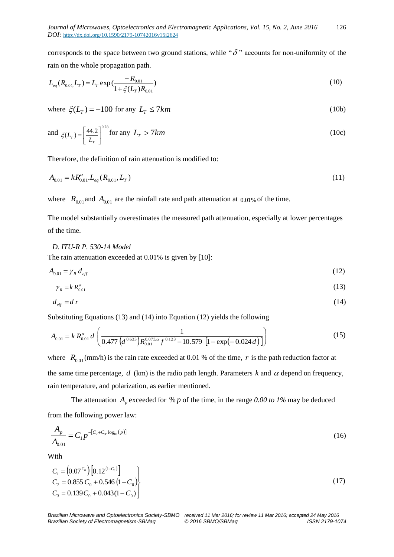corresponds to the space between two ground stations, while " $\delta$ " accounts for non-uniformity of the rain on the whole propagation path.

$$
L_{eq}(R_{0.01}L_T) = L_T \exp\left(\frac{-R_{0.01}}{1 + \xi(L_T)R_{0.01}}\right) \tag{10}
$$

where  $\zeta(L_T) = -100$  for any  $L_T \le 7km$  (10b)

and 
$$
\xi(L_r) = \left[\frac{44.2}{L_r}\right]^{0.78} \text{for any } L_r > 7km
$$
 (10c)

Therefore, the definition of rain attenuation is modified to:

$$
A_{0.01} = k R_{0.01}^{\alpha} L_{eq}(R_{0.01}, L_T)
$$
\n(11)

where  $R_{0.01}$  and  $A_{0.01}$  are the rainfall rate and path attenuation at  $0.01\%$  of the time.

The model substantially overestimates the measured path attenuation, especially at lower percentages of the time.

#### *D. ITU-R P. 530-14 Model*

The rain attenuation exceeded at 0.01% is given by [10]:

$$
A_{0.01} = \gamma_R d_{\text{eff}} \tag{12}
$$

$$
\gamma_R = k R_{0.01}^{\alpha} \tag{13}
$$

$$
d_{\text{eff}} = d\,r\tag{14}
$$

Substituting Equations (13) and (14) into Equation (12) yields the following

$$
A_{0.01} = k R_{0.01}^{\alpha} d \left( \frac{1}{0.477 \left( d^{0.633} \right) R_{0.01}^{0.073 \alpha} f^{0.123} - 10.579 \left[ 1 - \exp(-0.024 d) \right]} \right)
$$
(15)

where  $R_{0.01}$ (mm/h) is the rain rate exceeded at 0.01 % of the time, r is the path reduction factor at the same time percentage,  $d$  (km) is the radio path length. Parameters  $k$  and  $\alpha$  depend on frequency, rain temperature, and polarization, as earlier mentioned.

The attenuation  $A_p$  exceeded for % p of the time, in the range 0.00 to 1% may be deduced from the following power law:

$$
\frac{A_p}{A_{0.01}} = C_1 p^{-[C_2 + C_3 \log_0(p)]}
$$
\n(16)

With

$$
C_1 = (0.07^{C_0}) [0.12^{(1-C_0)}]
$$
  
\n
$$
C_2 = 0.855 C_0 + 0.546 (1-C_0)
$$
  
\n
$$
C_3 = 0.139 C_0 + 0.043 (1-C_0)
$$
\n(17)

*Brazilian Microwave and Optoelectronics Society-SBMO received 11 Mar 2016; for review 11 Mar 2016; accepted 24 May 2016 Brazilian Society of Electromagnetism-SBMag © 2016 SBMO/SBMag ISSN 2179-1074*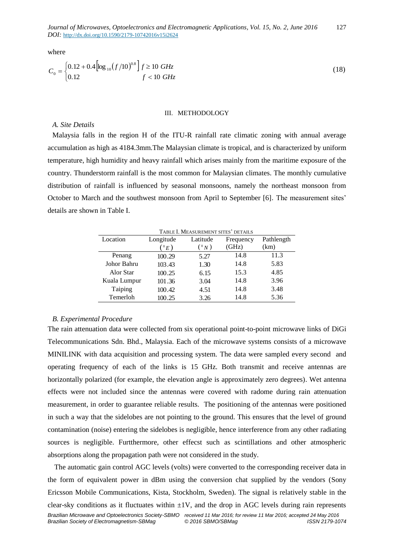where

$$
C_0 = \begin{cases} 0.12 + 0.4 \left[ \log_{10} (f/10)^{0.8} \right] f \ge 10 \text{ GHz} \\ 0.12 & f < 10 \text{ GHz} \end{cases}
$$
(18)

#### III. METHODOLOGY

#### *A. Site Details*

Malaysia falls in the region H of the ITU-R rainfall rate climatic zoning with annual average accumulation as high as 4184.3mm.The Malaysian climate is tropical, and is characterized by uniform temperature, high humidity and heavy rainfall which arises mainly from the maritime exposure of the country. Thunderstorm rainfall is the most common for Malaysian climates. The monthly cumulative distribution of rainfall is influenced by seasonal monsoons, namely the northeast monsoon from October to March and the southwest monsoon from April to September [6]. The measurement sites' details are shown in Table I.

TABLE I. MEASUREMENT SITES' DETAILS Location Longitude  $({}^{\scriptscriptstyle{0}}E)$ Latitude  $({}^{\,0}\,N\,)$ Frequency (GHz) Pathlength (km) Penang 100.29 5.27 14.8 11.3 Johor Bahru 103.43 1.30 14.8 5.83 Alor Star 100.25 6.15 15.3 4.85 Kuala Lumpur 101.36 3.04 14.8 3.96 Taiping 100.42 4.51 14.8 3.48 Temerloh 100.25 3.26 14.8 5.36

# *B. Experimental Procedure*

The rain attenuation data were collected from six operational point-to-point microwave links of DiGi Telecommunications [Sdn. Bhd.,](http://en.wikipedia.org/wiki/Sdn._Bhd.) Malaysia. Each of the microwave systems consists of a microwave MINILINK with data acquisition and processing system. The data were sampled every second and operating frequency of each of the links is 15 GHz. Both transmit and receive antennas are horizontally polarized (for example, the elevation angle is approximately zero degrees). Wet antenna effects were not included since the antennas were covered with radome during rain attenuation measurement, in order to guarantee reliable results. The positioning of the antennas were positioned in such a way that the sidelobes are not pointing to the ground. This ensures that the level of ground contamination (noise) entering the sidelobes is negligible, hence interference from any other radiating sources is negligible. Furtthermore, other effecst such as scintillations and other atmospheric absorptions along the propagation path were not considered in the study.

The automatic gain control AGC levels (volts) were converted to the corresponding receiver data in the form of equivalent power in dBm using the conversion chat supplied by the vendors (Sony Ericsson Mobile Communications, [Kista,](http://en.wikipedia.org/wiki/Kista) [Stockholm,](http://en.wikipedia.org/wiki/Stockholm) [Sweden\)](http://en.wikipedia.org/wiki/Sweden). The signal is relatively stable in the clear-sky conditions as it fluctuates within  $\pm 1V$ , and the drop in AGC levels during rain represents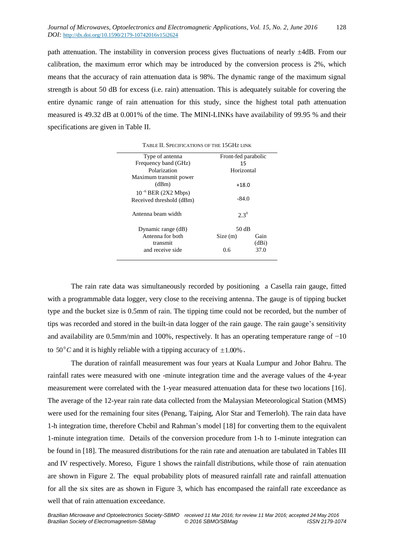path attenuation. The instability in conversion process gives fluctuations of nearly ±4dB. From our calibration, the maximum error which may be introduced by the conversion process is 2%, which means that the accuracy of rain attenuation data is 98%. The dynamic range of the maximum signal strength is about 50 dB for excess (i.e. rain) attenuation. This is adequately suitable for covering the entire dynamic range of rain attenuation for this study, since the highest total path attenuation measured is 49.32 dB at 0.001% of the time. The MINI-LINKs have availability of 99.95 % and their specifications are given in Table II.

| Type of antenna          | Front-fed parabolic |       |  |  |  |
|--------------------------|---------------------|-------|--|--|--|
| Frequency band (GHz)     | 15                  |       |  |  |  |
| Polarization             | Horizontal          |       |  |  |  |
| Maximum transmit power   |                     |       |  |  |  |
| (dBm)                    | $+18.0$             |       |  |  |  |
| $10^{-6}$ BER (2X2 Mbps) |                     |       |  |  |  |
| Received threshold (dBm) | $-84.0$             |       |  |  |  |
|                          |                     |       |  |  |  |
| Antenna heam width       | $2.3^{0}$           |       |  |  |  |
|                          |                     |       |  |  |  |
| Dynamic range (dB)       | 50 dB               |       |  |  |  |
| Antenna for both         | Size(m)             | Gain  |  |  |  |
| transmit                 |                     | (dBi) |  |  |  |
| and receive side         | 0.6                 | 37.0  |  |  |  |
|                          |                     |       |  |  |  |

TABLE II. SPECIFICATIONS OF THE 15GHZ LINK

The rain rate data was simultaneously recorded by positioning a Casella rain gauge, fitted with a programmable data logger, very close to the receiving antenna. The gauge is of tipping bucket type and the bucket size is 0.5mm of rain. The tipping time could not be recorded, but the number of tips was recorded and stored in the built-in data logger of the rain gauge. The rain gauge's sensitivity and availability are 0.5mm/min and 100%, respectively. It has an operating temperature range of −10 to  $50^{\circ}$ C and it is highly reliable with a tipping accuracy of  $\pm 1.00\%$ .

The duration of rainfall measurement was four years at Kuala Lumpur and Johor Bahru. The rainfall rates were measured with one -minute integration time and the average values of the 4-year measurement were correlated with the 1-year measured attenuation data for these two locations [16]. The average of the 12-year rain rate data collected from the Malaysian Meteorological Station (MMS) were used for the remaining four sites (Penang, Taiping, Alor Star and Temerloh). The rain data have 1-h integration time, therefore Chebil and Rahman's model [18] for converting them to the equivalent 1-minute integration time. Details of the conversion procedure from 1-h to 1-minute integration can be found in [18]. The measured distributions for the rain rate and atenuation are tabulated in Tables III and IV respectively. Moreso, Figure 1 shows the rainfall distributions, while those of rain atenuation are shown in Figure 2. The equal probability plots of measured rainfall rate and rainfall attenuation for all the six sites are as shown in Figure 3, which has encompased the rainfall rate exceedance as well that of rain attenuation exceedance.

*Brazilian Microwave and Optoelectronics Society-SBMO received 11 Mar 2016; for review 11 Mar 2016; accepted 24 May 2016*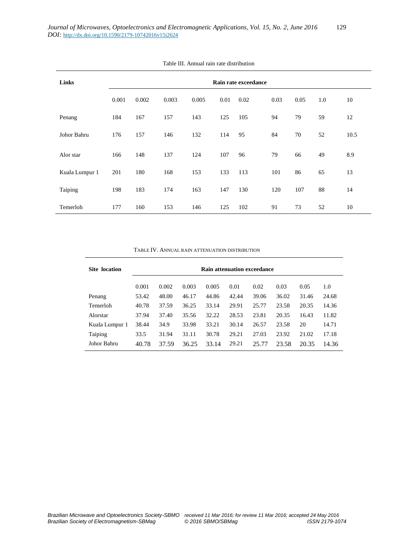| Links          | Rain rate exceedance |       |       |       |      |      |      |      |     |      |
|----------------|----------------------|-------|-------|-------|------|------|------|------|-----|------|
|                | 0.001                | 0.002 | 0.003 | 0.005 | 0.01 | 0.02 | 0.03 | 0.05 | 1.0 | 10   |
| Penang         | 184                  | 167   | 157   | 143   | 125  | 105  | 94   | 79   | 59  | 12   |
| Johor Bahru    | 176                  | 157   | 146   | 132   | 114  | 95   | 84   | 70   | 52  | 10.5 |
| Alor star      | 166                  | 148   | 137   | 124   | 107  | 96   | 79   | 66   | 49  | 8.9  |
| Kuala Lumpur 1 | 201                  | 180   | 168   | 153   | 133  | 113  | 101  | 86   | 65  | 13   |
| Taiping        | 198                  | 183   | 174   | 163   | 147  | 130  | 120  | 107  | 88  | 14   |
| Temerloh       | 177                  | 160   | 153   | 146   | 125  | 102  | 91   | 73   | 52  | 10   |

#### Table III. Annual rain rate distribution

#### TABLE IV. ANNUAL RAIN ATTENUATION DISTRIBUTION

| <b>Site location</b> | <b>Rain attenuation exceedance</b> |       |       |       |       |       |       |       |       |
|----------------------|------------------------------------|-------|-------|-------|-------|-------|-------|-------|-------|
|                      | 0.001                              | 0.002 | 0.003 | 0.005 | 0.01  | 0.02  | 0.03  | 0.05  | 1.0   |
| Penang               | 53.42                              | 48.00 | 46.17 | 44.86 | 42.44 | 39.06 | 36.02 | 31.46 | 24.68 |
| Temerloh             | 40.78                              | 37.59 | 36.25 | 33.14 | 29.91 | 25.77 | 23.58 | 20.35 | 14.36 |
| Alorstar             | 37.94                              | 37.40 | 35.56 | 32.22 | 28.53 | 23.81 | 20.35 | 16.43 | 11.82 |
| Kuala Lumpur 1       | 38.44                              | 34.9  | 33.98 | 33.21 | 30.14 | 26.57 | 23.58 | 20    | 14.71 |
| Taiping              | 33.5                               | 31.94 | 31.11 | 30.78 | 29.21 | 27.03 | 23.92 | 21.02 | 17.18 |
| Johor Bahru          | 40.78                              | 37.59 | 36.25 | 33.14 | 29.21 | 25.77 | 23.58 | 20.35 | 14.36 |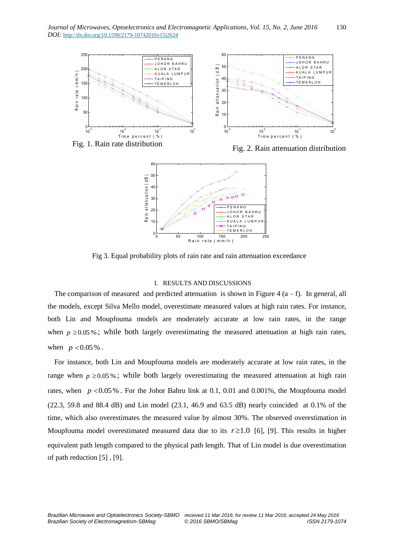



Fig 3. Equal probability plots of rain rate and rain attenuation exceedance

# I. RESULTS AND DISCUSSIONS

The comparison of measured and predicted attenuation is shown in Figure 4  $(a - f)$ . In general, all the models, except Silva Mello model, overestimate measured values at high rain rates. For instance, both Lin and Moupfouma models are moderately accurate at low rain rates, in the range when  $p \ge 0.05\%$ ; while both largely overestimating the measured attenuation at high rain rates, when  $p < 0.05\%$ .

For instance, both Lin and Moupfouma models are moderately accurate at low rain rates, in the range when  $p \ge 0.05\%$ ; while both largely overestimating the measured attenuation at high rain rates, when  $p < 0.05\%$ . For the Johor Bahru link at 0.1, 0.01 and 0.001%, the Moupfouma model  $(22.3, 59.8 \text{ and } 88.4 \text{ dB})$  and Lin model  $(23.1, 46.9 \text{ and } 63.5 \text{ dB})$  nearly coincided at 0.1% of the time, which also overestimates the measured value by almost 30%. The observed overestimation in Moupfouma model overestimated measured data due to its  $r \ge 1.0$  [6], [9]. This results in higher equivalent path length compared to the physical path length. That of Lin model is due overestimation of path reduction [5] , [9].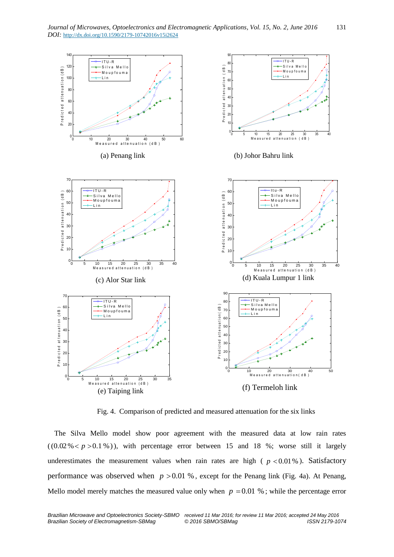

Fig. 4. Comparison of predicted and measured attenuation for the six links

The Silva Mello model show poor agreement with the measured data at low rain rates  $((0.02\% < p > 0.1\%)$ , with percentage error between 15 and 18 %; worse still it largely underestimates the measurement values when rain rates are high ( $p < 0.01\%$ ). Satisfactory performance was observed when  $p > 0.01$  %, except for the Penang link (Fig. 4a). At Penang, Mello model merely matches the measured value only when  $p = 0.01$  %; while the percentage error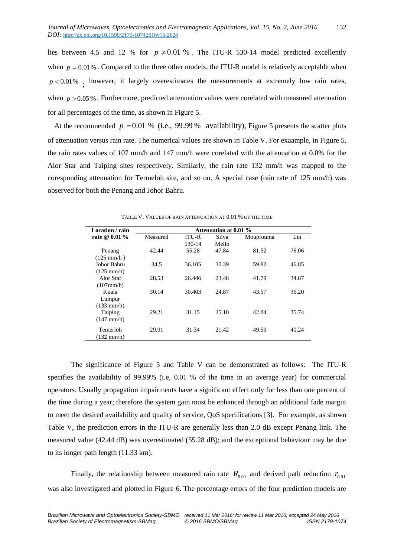lies between 4.5 and 12 % for  $p \neq 0.01$  %. The ITU-R 530-14 model predicted excellently when  $p = 0.01\%$ . Compared to the three other models, the ITU-R model is relatively acceptable when  $p < 0.01\%$ ; however, it largely overestimates the measurements at extremely low rain rates, when  $p > 0.05$ %. Furthermore, predicted attenuation values were corelated with measured attenuation for all percentages of the time, as shown in Figure 5.

At the recommended  $p = 0.01$  % (i.e., 99.99 % availability), Figure 5 presents the scatter plots of attenuation versus rain rate. The numerical values are shown in Table V. For exaample, in Figure 5, the rain rates values of 107 mm/h and 147 mm/h were corelated with the attenuation at 0.0% for the Alor Star and Taiping sites respectively. Similarly, the rain rate 132 mm/h was mapped to the coresponding attenuation for Termeloh site, and so on. A special case (rain rate of 125 mm/h) was observed for both the Penang and Johor Bahru.

| <b>Attenuation at 0.01 %</b> |              |       |           |       |  |  |  |  |
|------------------------------|--------------|-------|-----------|-------|--|--|--|--|
| Measured                     | <b>ITU-R</b> | Silva | Moupfouma | Lin   |  |  |  |  |
|                              | 530-14       | Mello |           |       |  |  |  |  |
| 42.44                        | 55.28        | 47.84 | 81.52     | 76.06 |  |  |  |  |
|                              |              |       |           |       |  |  |  |  |
| 34.5                         | 36.105       | 30.39 | 59.82     | 46.85 |  |  |  |  |
|                              |              |       |           |       |  |  |  |  |
| 28.53                        | 26.446       | 23.48 | 41.79     | 34.87 |  |  |  |  |
|                              |              |       |           |       |  |  |  |  |
| 30.14                        | 30.403       | 24.87 | 43.57     | 36.20 |  |  |  |  |
|                              |              |       |           |       |  |  |  |  |
|                              |              |       |           |       |  |  |  |  |
| 29.21                        |              | 25.10 | 42.84     | 35.74 |  |  |  |  |
|                              |              |       |           |       |  |  |  |  |
| 29.91                        | 31.34        | 21.42 | 49.59     | 40.24 |  |  |  |  |
|                              |              |       |           |       |  |  |  |  |
|                              |              | 31.15 |           |       |  |  |  |  |

TABLE V. VALUES OF RAIN ATTENUATION AT 0.01 % OF THE TIME

The significance of Figure 5 and Table V can be demonstrated as follows: The ITU-R specifies the availability of 99.99% (i.e, 0.01 % of the time in an average year) for commercial operators. Usually propagation impairments have a significant effect only for less than one percent of the time during a year; therefore the system gain must be enhanced through an additional fade margin to meet the desired availability and quality of service, QoS specifications [3]. For example, as shown Table V, the prediction errors in the ITU-R are generally less than 2.0 dB except Penang link. The measured value (42.44 dB) was overestimated (55.28 dB); and the exceptional behaviour may be due to its longer path length (11.33 km).

Finally, the relationship between measured rain rate  $R_{0.01}$  and derived path reduction  $r_{0.01}$ was also investigated and plotted in Figure 6. The percentage errors of the four prediction models are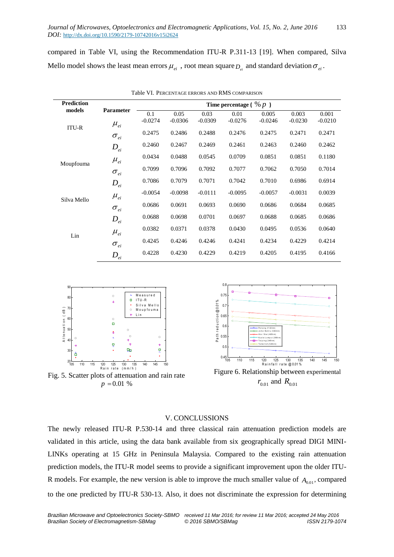compared in Table VI, using the Recommendation ITU-R P.311-13 [19]. When compared, Silva Mello model shows the least mean errors  $\mu_{ei}$ , root mean square  $D_{ei}$  and standard deviation  $\sigma_{ei}$ .

| <b>Prediction</b> |                                  | Time percentage ( $\% p$ ) |           |           |           |           |           |           |  |
|-------------------|----------------------------------|----------------------------|-----------|-----------|-----------|-----------|-----------|-----------|--|
| models            | Parameter                        | 0.1                        | 0.05      | 0.03      | 0.01      | 0.005     | 0.003     | 0.001     |  |
| <b>ITU-R</b>      | $\mu_{ei}$                       | $-0.0274$                  | $-0.0306$ | $-0.0309$ | $-0.0276$ | $-0.0246$ | $-0.0230$ | $-0.0210$ |  |
|                   | $\sigma_{\scriptscriptstyle ei}$ | 0.2475                     | 0.2486    | 0.2488    | 0.2476    | 0.2475    | 0.2471    | 0.2471    |  |
|                   | $D_{ei}$                         | 0.2460                     | 0.2467    | 0.2469    | 0.2461    | 0.2463    | 0.2460    | 0.2462    |  |
| Moupfouma         | $\mu_{ei}$                       | 0.0434                     | 0.0488    | 0.0545    | 0.0709    | 0.0851    | 0.0851    | 0.1180    |  |
|                   | $\sigma_{\scriptscriptstyle ei}$ | 0.7099                     | 0.7096    | 0.7092    | 0.7077    | 0.7062    | 0.7050    | 0.7014    |  |
|                   | $D_{ei}$                         | 0.7086                     | 0.7079    | 0.7071    | 0.7042    | 0.7010    | 0.6986    | 0.6914    |  |
| Silva Mello       | $\mu_{ei}$                       | $-0.0054$                  | $-0.0098$ | $-0.0111$ | $-0.0095$ | $-0.0057$ | $-0.0031$ | 0.0039    |  |
|                   | $\sigma_{\scriptscriptstyle ei}$ | 0.0686                     | 0.0691    | 0.0693    | 0.0690    | 0.0686    | 0.0684    | 0.0685    |  |
|                   | $D_{ei}$                         | 0.0688                     | 0.0698    | 0.0701    | 0.0697    | 0.0688    | 0.0685    | 0.0686    |  |
| Lin               | $\mu_{ei}$                       | 0.0382                     | 0.0371    | 0.0378    | 0.0430    | 0.0495    | 0.0536    | 0.0640    |  |
|                   | $\sigma_{\scriptscriptstyle ei}$ | 0.4245                     | 0.4246    | 0.4246    | 0.4241    | 0.4234    | 0.4229    | 0.4214    |  |
|                   | $D_{ei}$                         | 0.4228                     | 0.4230    | 0.4229    | 0.4219    | 0.4205    | 0.4195    | 0.4166    |  |

Table VI. PERCENTAGE ERRORS AND RMS COMPARISON





# V. CONCLUSSIONS

The newly released ITU-R P.530-14 and three classical rain attenuation prediction models are validated in this article, using the data bank available from six geographically spread DIGI MINI-LINKs operating at 15 GHz in Peninsula Malaysia. Compared to the existing rain attenuation prediction models, the ITU-R model seems to provide a significant improvement upon the older ITU-R models. For example, the new version is able to improve the much smaller value of  $A_{0.01}$ , compared to the one predicted by ITU-R 530-13. Also, it does not discriminate the expression for determining